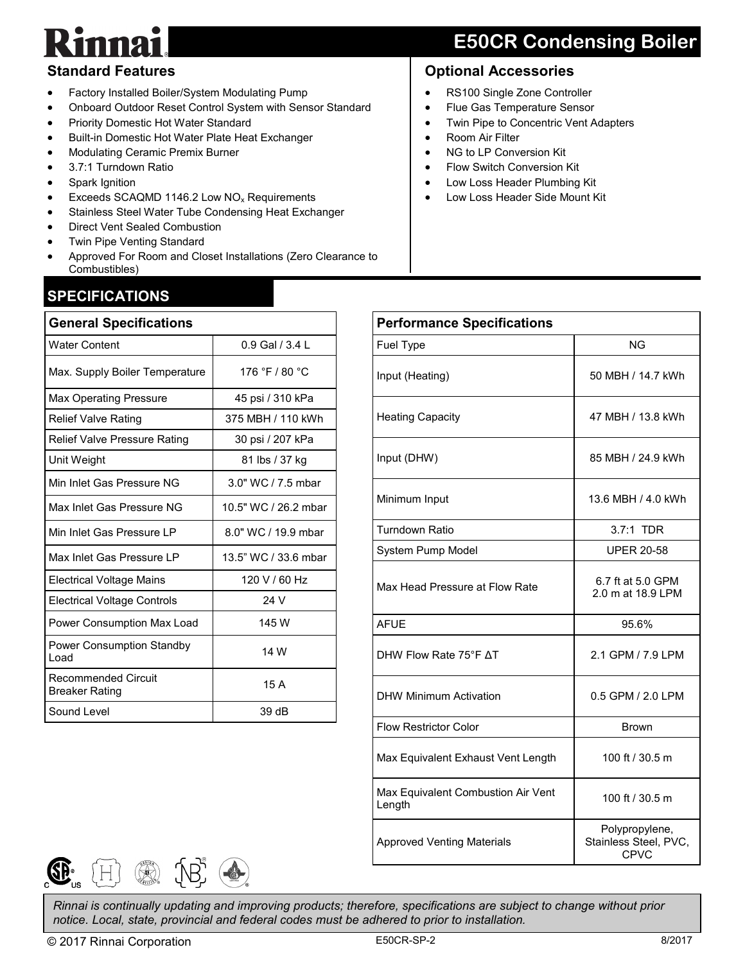# $\mathbf{p}$

# **E50CR Condensing Boiler**

### **Standard Features**

- Factory Installed Boiler/System Modulating Pump
- Onboard Outdoor Reset Control System with Sensor Standard
- Priority Domestic Hot Water Standard
- Built-in Domestic Hot Water Plate Heat Exchanger
- Modulating Ceramic Premix Burner
- 3.7:1 Turndown Ratio
- Spark Ignition
- Exceeds SCAQMD 1146.2 Low NO<sup>x</sup> Requirements
- Stainless Steel Water Tube Condensing Heat Exchanger
- Direct Vent Sealed Combustion
- Twin Pipe Venting Standard
- Approved For Room and Closet Installations (Zero Clearance to Combustibles)

## **SPECIFICATIONS**

| <b>General Specifications</b>                |                      |  |  |  |
|----------------------------------------------|----------------------|--|--|--|
| <b>Water Content</b>                         | 0.9 Gal / 3.4 L      |  |  |  |
| Max. Supply Boiler Temperature               | 176 °F / 80 °C       |  |  |  |
| <b>Max Operating Pressure</b>                | 45 psi / 310 kPa     |  |  |  |
| <b>Relief Valve Rating</b>                   | 375 MBH / 110 kWh    |  |  |  |
| Relief Valve Pressure Rating                 | 30 psi / 207 kPa     |  |  |  |
| Unit Weight                                  | 81 lbs / 37 kg       |  |  |  |
| Min Inlet Gas Pressure NG                    | 3.0" WC / 7.5 mbar   |  |  |  |
| Max Inlet Gas Pressure NG                    | 10.5" WC / 26.2 mbar |  |  |  |
| Min Inlet Gas Pressure LP                    | 8.0" WC / 19.9 mbar  |  |  |  |
| Max Inlet Gas Pressure I P                   | 13.5" WC / 33.6 mbar |  |  |  |
| <b>Electrical Voltage Mains</b>              | 120 V / 60 Hz        |  |  |  |
| <b>Electrical Voltage Controls</b>           | 24 V                 |  |  |  |
| Power Consumption Max Load                   | 145 W                |  |  |  |
| Power Consumption Standby<br>Load            | 14 W                 |  |  |  |
| Recommended Circuit<br><b>Breaker Rating</b> | 15 A                 |  |  |  |
| Sound Level                                  | 39 dB                |  |  |  |

- RS100 Single Zone Controller
- Flue Gas Temperature Sensor
- Twin Pipe to Concentric Vent Adapters
- Room Air Filter
- NG to LP Conversion Kit
- Flow Switch Conversion Kit
- Low Loss Header Plumbing Kit
- Low Loss Header Side Mount Kit

| <b>Performance Specifications</b>            |                                                        |  |  |  |
|----------------------------------------------|--------------------------------------------------------|--|--|--|
| Fuel Type                                    | NG                                                     |  |  |  |
| Input (Heating)                              | 50 MBH / 14.7 kWh                                      |  |  |  |
| <b>Heating Capacity</b>                      | 47 MBH / 13.8 kWh                                      |  |  |  |
| Input (DHW)                                  | 85 MBH / 24.9 kWh                                      |  |  |  |
| Minimum Input                                | 13.6 MBH / 4.0 kWh                                     |  |  |  |
| <b>Turndown Ratio</b>                        | 3.7:1 TDR                                              |  |  |  |
| System Pump Model                            | <b>UPER 20-58</b>                                      |  |  |  |
| Max Head Pressure at Flow Rate               | 6.7 ft at 5.0 GPM<br>2.0 m at 18.9 LPM                 |  |  |  |
| <b>AFUE</b>                                  | 95.6%                                                  |  |  |  |
| DHW Flow Rate 75°F AT                        | 2.1 GPM / 7.9 LPM                                      |  |  |  |
| <b>DHW Minimum Activation</b>                | 0.5 GPM / 2.0 LPM                                      |  |  |  |
| <b>Flow Restrictor Color</b>                 | <b>Brown</b>                                           |  |  |  |
| Max Equivalent Exhaust Vent Length           | 100 ft / 30.5 m                                        |  |  |  |
| Max Equivalent Combustion Air Vent<br>Length | 100 ft / 30.5 m                                        |  |  |  |
| <b>Approved Venting Materials</b>            | Polypropylene,<br>Stainless Steel, PVC,<br><b>CPVC</b> |  |  |  |



*Rinnai is continually updating and improving products; therefore, specifications are subject to change without prior notice. Local, state, provincial and federal codes must be adhered to prior to installation.*